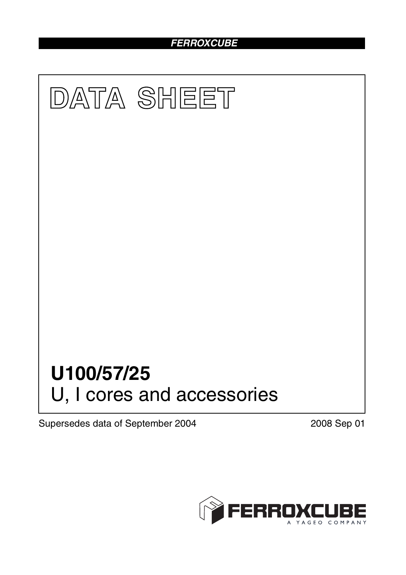## *FERROXCUBE*



Supersedes data of September 2004 2008 Sep 01

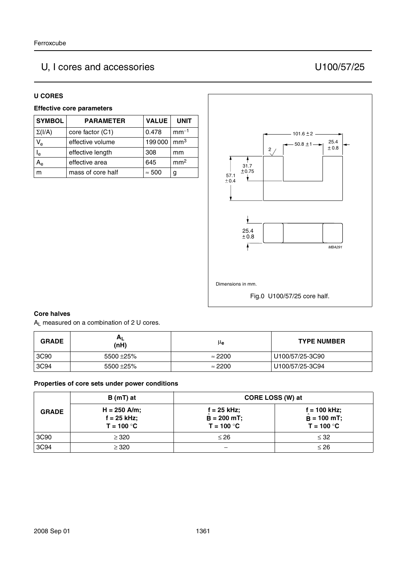# U, I cores and accessories U100/57/25

#### **U CORES**

### **Effective core parameters**

| <b>SYMBOL</b>             | <b>PARAMETER</b>  | <b>VALUE</b>  | <b>UNIT</b>     |
|---------------------------|-------------------|---------------|-----------------|
| $\Sigma(I/A)$             | core factor (C1)  | 0.478         | $mm-1$          |
| $V_{e}$                   | effective volume  | 199000        | mm <sup>3</sup> |
| $\mathsf{l}_{\mathsf{e}}$ | effective length  | 308           | mm              |
| A۵                        | effective area    | 645           | mm <sup>2</sup> |
|                           | mass of core half | $\approx 500$ | g               |



#### **Core halves**

AL measured on a combination of 2 U cores.

| <b>GRADE</b> | $A_L$<br>(nH)  | μe             | <b>TYPE NUMBER</b> |
|--------------|----------------|----------------|--------------------|
| 3C90         | 5500 $\pm$ 25% | $\approx$ 2200 | U100/57/25-3C90    |
| 3C94         | 5500 $\pm$ 25% | $\approx$ 2200 | U100/57/25-3C94    |

#### **Properties of core sets under power conditions**

|              | $B(mT)$ at                                      | CORE LOSS (W) at                                |                                                 |
|--------------|-------------------------------------------------|-------------------------------------------------|-------------------------------------------------|
| <b>GRADE</b> | $H = 250$ A/m;<br>$f = 25$ kHz;<br>$T = 100 °C$ | $f = 25$ kHz;<br>$B = 200 mT$ ;<br>$T = 100 °C$ | $f = 100$ kHz;<br>$B = 100$ mT;<br>$T = 100 °C$ |
| 3C90         | $\geq$ 320                                      | $\leq 26$                                       | $\leq$ 32                                       |
| 3C94         | $\geq$ 320                                      | —                                               | $\leq 26$                                       |